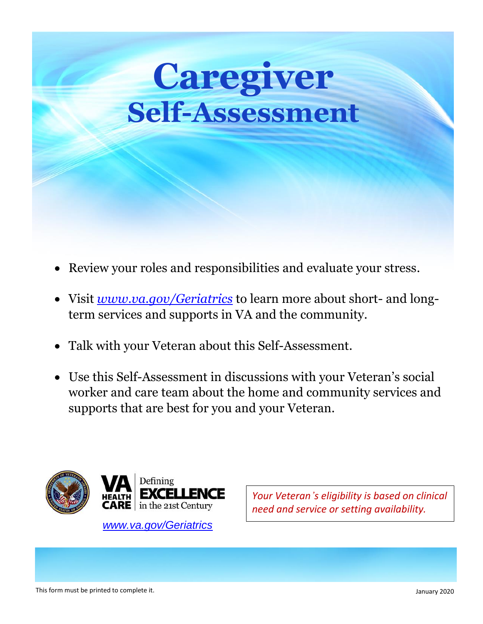## **Caregiver Self-Assessment**

- Review your roles and responsibilities and evaluate your stress.
- Visit *[www.va.gov/Geriatrics](https://www.va.gov/Geriatrics)* to learn more about short- and longterm services and supports in VA and the community.
- Talk with your Veteran about this Self-Assessment.
- Use this Self-Assessment in discussions with your Veteran's social worker and care team about the home and community services and supports that are best for you and your Veteran.



*[www.va.gov/Geriatrics](https://www.va.gov/Geriatrics)*

*Your Veteran's eligibility is based on clinical need and service or setting availability.*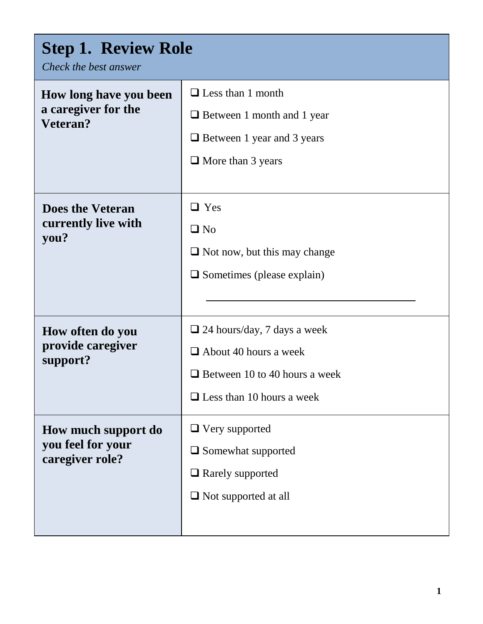| <b>Step 1. Review Role</b><br>Check the best answer         |                                                                                                                                                |  |
|-------------------------------------------------------------|------------------------------------------------------------------------------------------------------------------------------------------------|--|
| How long have you been<br>a caregiver for the<br>Veteran?   | $\Box$ Less than 1 month<br>$\Box$ Between 1 month and 1 year<br>$\Box$ Between 1 year and 3 years<br>$\Box$ More than 3 years                 |  |
| <b>Does the Veteran</b><br>currently live with<br>you?      | $\Box$ Yes<br>$\Box$ No<br>$\Box$ Not now, but this may change<br>$\Box$ Sometimes (please explain)                                            |  |
| How often do you<br>provide caregiver<br>support?           | $\Box$ 24 hours/day, 7 days a week<br>$\Box$ About 40 hours a week<br>$\Box$ Between 10 to 40 hours a week<br>$\Box$ Less than 10 hours a week |  |
| How much support do<br>you feel for your<br>caregiver role? | $\Box$ Very supported<br>$\Box$ Somewhat supported<br>$\Box$ Rarely supported<br>$\Box$ Not supported at all                                   |  |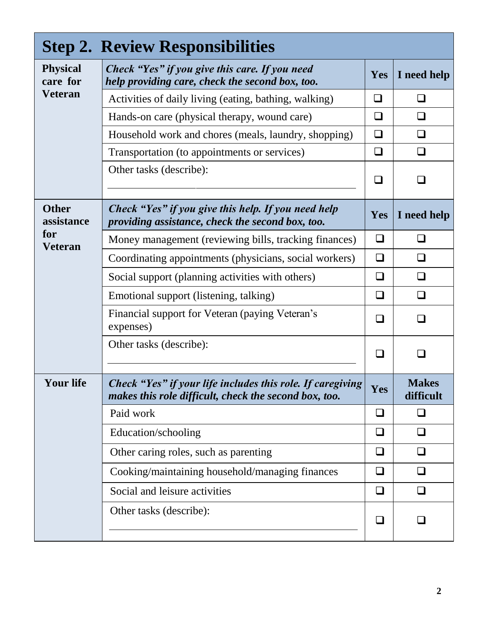| <b>Step 2. Review Responsibilities</b> |                                                                                                                     |        |                           |
|----------------------------------------|---------------------------------------------------------------------------------------------------------------------|--------|---------------------------|
| <b>Physical</b><br>care for            | Check "Yes" if you give this care. If you need<br>help providing care, check the second box, too.                   | Yes    | I need help               |
| <b>Veteran</b>                         | Activities of daily living (eating, bathing, walking)                                                               | ⊔      | $\Box$                    |
|                                        | Hands-on care (physical therapy, wound care)                                                                        | ❏      | ❏                         |
|                                        | Household work and chores (meals, laundry, shopping)                                                                | ❏      | ❏                         |
|                                        | Transportation (to appointments or services)                                                                        | ❏      | ❏                         |
|                                        | Other tasks (describe):                                                                                             | $\Box$ |                           |
| <b>Other</b><br>assistance             | Check "Yes" if you give this help. If you need help<br>providing assistance, check the second box, too.             | Yes    | I need help               |
| for<br><b>Veteran</b>                  | Money management (reviewing bills, tracking finances)                                                               | ❏      | ப                         |
|                                        | Coordinating appointments (physicians, social workers)                                                              | $\Box$ | ⊔                         |
|                                        | Social support (planning activities with others)                                                                    | $\Box$ | $\Box$                    |
|                                        | Emotional support (listening, talking)                                                                              | $\Box$ | $\Box$                    |
|                                        | Financial support for Veteran (paying Veteran's<br>expenses)                                                        | ❏      | $\Box$                    |
|                                        | Other tasks (describe):                                                                                             |        |                           |
| <b>Your life</b>                       | Check "Yes" if your life includes this role. If caregiving<br>makes this role difficult, check the second box, too. | Yes    | <b>Makes</b><br>difficult |
|                                        | Paid work                                                                                                           | $\Box$ |                           |
|                                        | Education/schooling                                                                                                 | ⊔      |                           |
|                                        | Other caring roles, such as parenting                                                                               | ❏      | ப                         |
|                                        | Cooking/maintaining household/managing finances                                                                     | ❏      | ❏                         |
|                                        | Social and leisure activities                                                                                       | □      | $\Box$                    |
|                                        | Other tasks (describe):                                                                                             | ப      |                           |